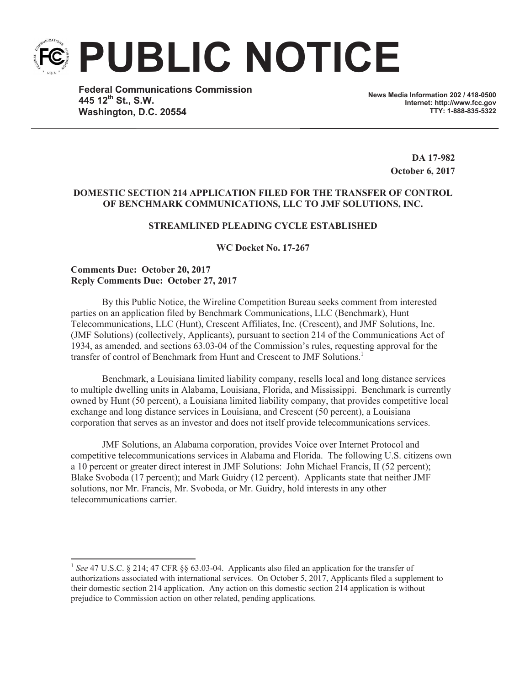**PUBLIC NOTICE**

**Federal Communications Commission 445 12th St., S.W. Washington, D.C. 20554**

**News Media Information 202 / 418-0500 Internet: http://www.fcc.gov TTY: 1-888-835-5322**

> **DA 17-982 October 6, 2017**

## **DOMESTIC SECTION 214 APPLICATION FILED FOR THE TRANSFER OF CONTROL OF BENCHMARK COMMUNICATIONS, LLC TO JMF SOLUTIONS, INC.**

# **STREAMLINED PLEADING CYCLE ESTABLISHED**

**WC Docket No. 17-267**

#### **Comments Due: October 20, 2017 Reply Comments Due: October 27, 2017**

By this Public Notice, the Wireline Competition Bureau seeks comment from interested parties on an application filed by Benchmark Communications, LLC (Benchmark), Hunt Telecommunications, LLC (Hunt), Crescent Affiliates, Inc. (Crescent), and JMF Solutions, Inc. (JMF Solutions) (collectively, Applicants), pursuant to section 214 of the Communications Act of 1934, as amended, and sections 63.03-04 of the Commission's rules, requesting approval for the transfer of control of Benchmark from Hunt and Crescent to JMF Solutions.<sup>1</sup>

Benchmark, a Louisiana limited liability company, resells local and long distance services to multiple dwelling units in Alabama, Louisiana, Florida, and Mississippi. Benchmark is currently owned by Hunt (50 percent), a Louisiana limited liability company, that provides competitive local exchange and long distance services in Louisiana, and Crescent (50 percent), a Louisiana corporation that serves as an investor and does not itself provide telecommunications services.

JMF Solutions, an Alabama corporation, provides Voice over Internet Protocol and competitive telecommunications services in Alabama and Florida. The following U.S. citizens own a 10 percent or greater direct interest in JMF Solutions: John Michael Francis, II (52 percent); Blake Svoboda (17 percent); and Mark Guidry (12 percent). Applicants state that neither JMF solutions, nor Mr. Francis, Mr. Svoboda, or Mr. Guidry, hold interests in any other telecommunications carrier.

<sup>&</sup>lt;sup>1</sup> See 47 U.S.C. § 214; 47 CFR §§ 63.03-04. Applicants also filed an application for the transfer of authorizations associated with international services. On October 5, 2017, Applicants filed a supplement to their domestic section 214 application. Any action on this domestic section 214 application is without prejudice to Commission action on other related, pending applications.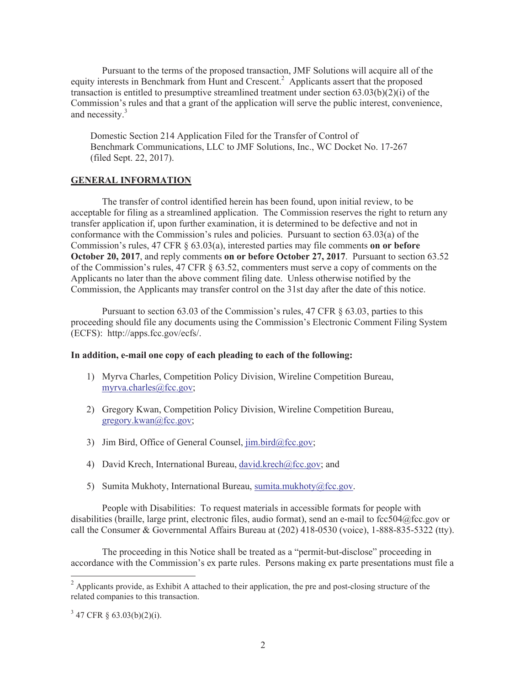Pursuant to the terms of the proposed transaction, JMF Solutions will acquire all of the equity interests in Benchmark from Hunt and Crescent.<sup>2</sup> Applicants assert that the proposed transaction is entitled to presumptive streamlined treatment under section  $63.03(b)(2)(i)$  of the Commission's rules and that a grant of the application will serve the public interest, convenience, and necessity.<sup>3</sup>

Domestic Section 214 Application Filed for the Transfer of Control of Benchmark Communications, LLC to JMF Solutions, Inc., WC Docket No. 17-267 (filed Sept. 22, 2017).

### **GENERAL INFORMATION**

The transfer of control identified herein has been found, upon initial review, to be acceptable for filing as a streamlined application. The Commission reserves the right to return any transfer application if, upon further examination, it is determined to be defective and not in conformance with the Commission's rules and policies. Pursuant to section 63.03(a) of the Commission's rules, 47 CFR § 63.03(a), interested parties may file comments **on or before October 20, 2017**, and reply comments **on or before October 27, 2017**. Pursuant to section 63.52 of the Commission's rules, 47 CFR § 63.52, commenters must serve a copy of comments on the Applicants no later than the above comment filing date. Unless otherwise notified by the Commission, the Applicants may transfer control on the 31st day after the date of this notice.

Pursuant to section 63.03 of the Commission's rules, 47 CFR § 63.03, parties to this proceeding should file any documents using the Commission's Electronic Comment Filing System (ECFS): http://apps.fcc.gov/ecfs/.

#### **In addition, e-mail one copy of each pleading to each of the following:**

- 1) Myrva Charles, Competition Policy Division, Wireline Competition Bureau, myrva.charles@fcc.gov;
- 2) Gregory Kwan, Competition Policy Division, Wireline Competition Bureau, gregory.kwan@fcc.gov;
- 3) Jim Bird, Office of General Counsel,  $\lim_{h \to 0} \frac{\text{bird}(a)\text{fcc.gov}}{h}$ ;
- 4) David Krech, International Bureau, david.krech@fcc.gov; and
- 5) Sumita Mukhoty, International Bureau, sumita.mukhoty@fcc.gov.

People with Disabilities: To request materials in accessible formats for people with disabilities (braille, large print, electronic files, audio format), send an e-mail to fcc504@fcc.gov or call the Consumer & Governmental Affairs Bureau at (202) 418-0530 (voice), 1-888-835-5322 (tty).

The proceeding in this Notice shall be treated as a "permit-but-disclose" proceeding in accordance with the Commission's ex parte rules. Persons making ex parte presentations must file a

 $^{2}$  Applicants provide, as Exhibit A attached to their application, the pre and post-closing structure of the related companies to this transaction.

 $3\,$  47 CFR § 63.03(b)(2)(i).